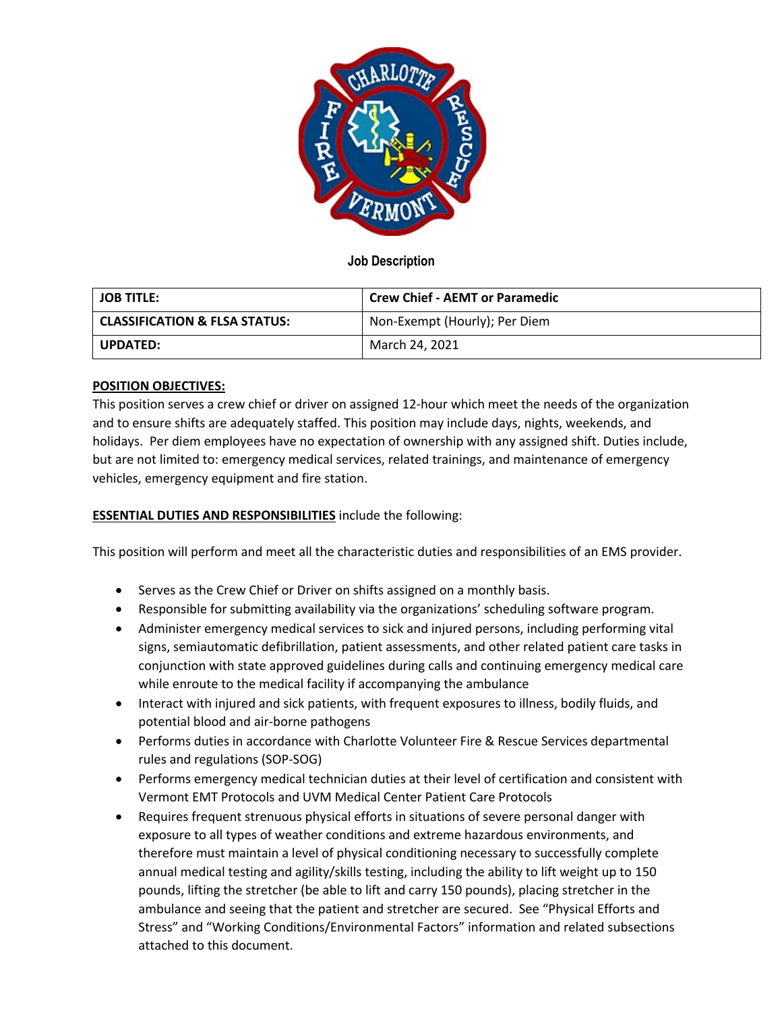

# **Job Description**

| <b>JOB TITLE:</b>                        | <b>Crew Chief - AEMT or Paramedic</b> |
|------------------------------------------|---------------------------------------|
| <b>CLASSIFICATION &amp; FLSA STATUS:</b> | Non-Exempt (Hourly); Per Diem         |
| <b>UPDATED:</b>                          | March 24, 2021                        |

# **POSITION OBJECTIVES:**

This position serves a crew chief or driver on assigned 12-hour which meet the needs of the organization and to ensure shifts are adequately staffed. This position may include days, nights, weekends, and holidays. Per diem employees have no expectation of ownership with any assigned shift. Duties include, but are not limited to: emergency medical services, related trainings, and maintenance of emergency vehicles, emergency equipment and fire station.

# **ESSENTIAL DUTIES AND RESPONSIBILITIES** include the following:

This position will perform and meet all the characteristic duties and responsibilities of an EMS provider.

- Serves as the Crew Chief or Driver on shifts assigned on a monthly basis.
- Responsible for submitting availability via the organizations' scheduling software program.
- Administer emergency medical services to sick and injured persons, including performing vital signs, semiautomatic defibrillation, patient assessments, and other related patient care tasks in conjunction with state approved guidelines during calls and continuing emergency medical care while enroute to the medical facility if accompanying the ambulance
- Interact with injured and sick patients, with frequent exposures to illness, bodily fluids, and potential blood and air-borne pathogens
- Performs duties in accordance with Charlotte Volunteer Fire & Rescue Services departmental rules and regulations (SOP-SOG)
- Performs emergency medical technician duties at their level of certification and consistent with Vermont EMT Protocols and UVM Medical Center Patient Care Protocols
- Requires frequent strenuous physical efforts in situations of severe personal danger with exposure to all types of weather conditions and extreme hazardous environments, and therefore must maintain a level of physical conditioning necessary to successfully complete annual medical testing and agility/skills testing, including the ability to lift weight up to 150 pounds, lifting the stretcher (be able to lift and carry 150 pounds), placing stretcher in the ambulance and seeing that the patient and stretcher are secured. See "Physical Efforts and Stress" and "Working Conditions/Environmental Factors" information and related subsections attached to this document.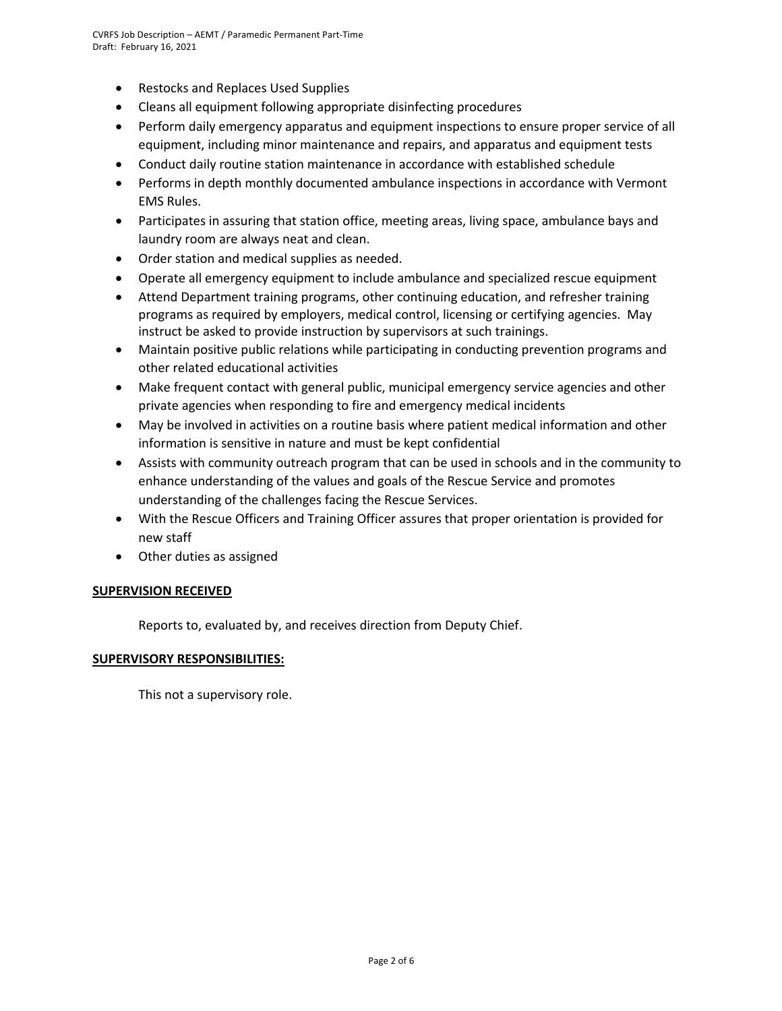- Restocks and Replaces Used Supplies
- Cleans all equipment following appropriate disinfecting procedures
- Perform daily emergency apparatus and equipment inspections to ensure proper service of all equipment, including minor maintenance and repairs, and apparatus and equipment tests
- Conduct daily routine station maintenance in accordance with established schedule
- Performs in depth monthly documented ambulance inspections in accordance with Vermont EMS Rules.
- Participates in assuring that station office, meeting areas, living space, ambulance bays and laundry room are always neat and clean.
- Order station and medical supplies as needed.
- Operate all emergency equipment to include ambulance and specialized rescue equipment
- Attend Department training programs, other continuing education, and refresher training programs as required by employers, medical control, licensing or certifying agencies. May instruct be asked to provide instruction by supervisors at such trainings.
- Maintain positive public relations while participating in conducting prevention programs and other related educational activities
- Make frequent contact with general public, municipal emergency service agencies and other private agencies when responding to fire and emergency medical incidents
- May be involved in activities on a routine basis where patient medical information and other information is sensitive in nature and must be kept confidential
- Assists with community outreach program that can be used in schools and in the community to enhance understanding of the values and goals of the Rescue Service and promotes understanding of the challenges facing the Rescue Services.
- With the Rescue Officers and Training Officer assures that proper orientation is provided for new staff
- Other duties as assigned

### **SUPERVISION RECEIVED**

Reports to, evaluated by, and receives direction from Deputy Chief.

#### **SUPERVISORY RESPONSIBILITIES:**

This not a supervisory role.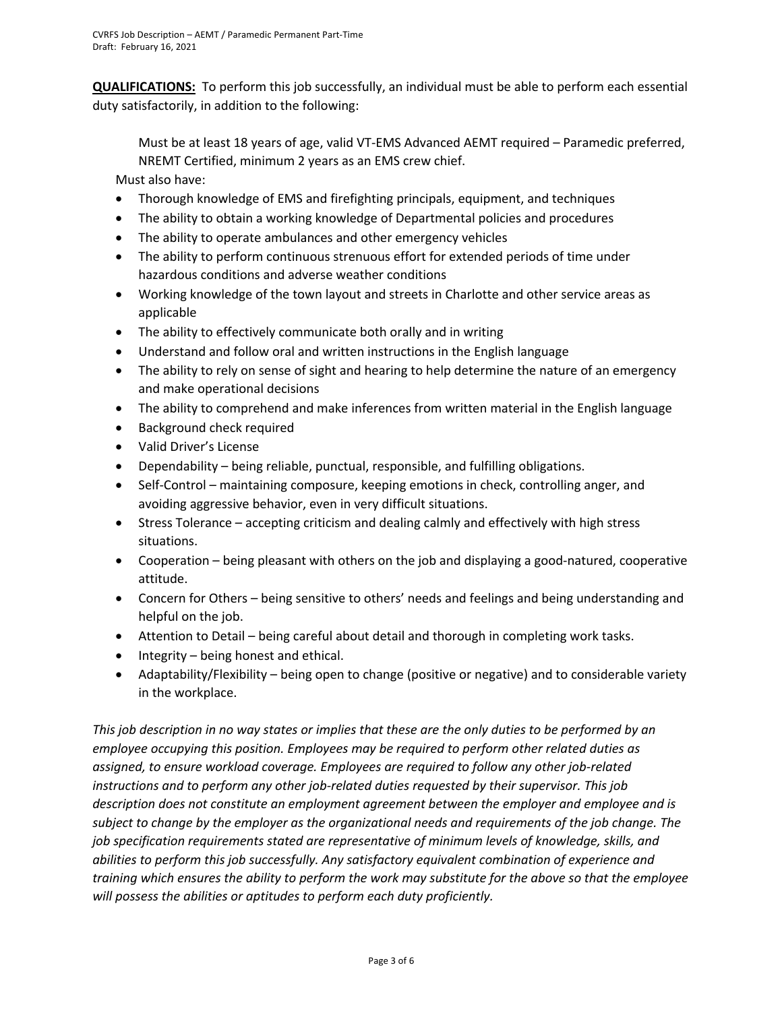**QUALIFICATIONS:** To perform this job successfully, an individual must be able to perform each essential duty satisfactorily, in addition to the following:

Must be at least 18 years of age, valid VT-EMS Advanced AEMT required – Paramedic preferred, NREMT Certified, minimum 2 years as an EMS crew chief.

Must also have:

- Thorough knowledge of EMS and firefighting principals, equipment, and techniques
- The ability to obtain a working knowledge of Departmental policies and procedures
- The ability to operate ambulances and other emergency vehicles
- The ability to perform continuous strenuous effort for extended periods of time under hazardous conditions and adverse weather conditions
- Working knowledge of the town layout and streets in Charlotte and other service areas as applicable
- The ability to effectively communicate both orally and in writing
- Understand and follow oral and written instructions in the English language
- The ability to rely on sense of sight and hearing to help determine the nature of an emergency and make operational decisions
- The ability to comprehend and make inferences from written material in the English language
- Background check required
- Valid Driver's License
- Dependability being reliable, punctual, responsible, and fulfilling obligations.
- Self-Control maintaining composure, keeping emotions in check, controlling anger, and avoiding aggressive behavior, even in very difficult situations.
- Stress Tolerance accepting criticism and dealing calmly and effectively with high stress situations.
- Cooperation being pleasant with others on the job and displaying a good-natured, cooperative attitude.
- Concern for Others being sensitive to others' needs and feelings and being understanding and helpful on the job.
- Attention to Detail being careful about detail and thorough in completing work tasks.
- Integrity being honest and ethical.
- Adaptability/Flexibility being open to change (positive or negative) and to considerable variety in the workplace.

*This job description in no way states or implies that these are the only duties to be performed by an employee occupying this position. Employees may be required to perform other related duties as assigned, to ensure workload coverage. Employees are required to follow any other job-related instructions and to perform any other job-related duties requested by their supervisor. This job description does not constitute an employment agreement between the employer and employee and is subject to change by the employer as the organizational needs and requirements of the job change. The job specification requirements stated are representative of minimum levels of knowledge, skills, and abilities to perform this job successfully. Any satisfactory equivalent combination of experience and training which ensures the ability to perform the work may substitute for the above so that the employee will possess the abilities or aptitudes to perform each duty proficiently.*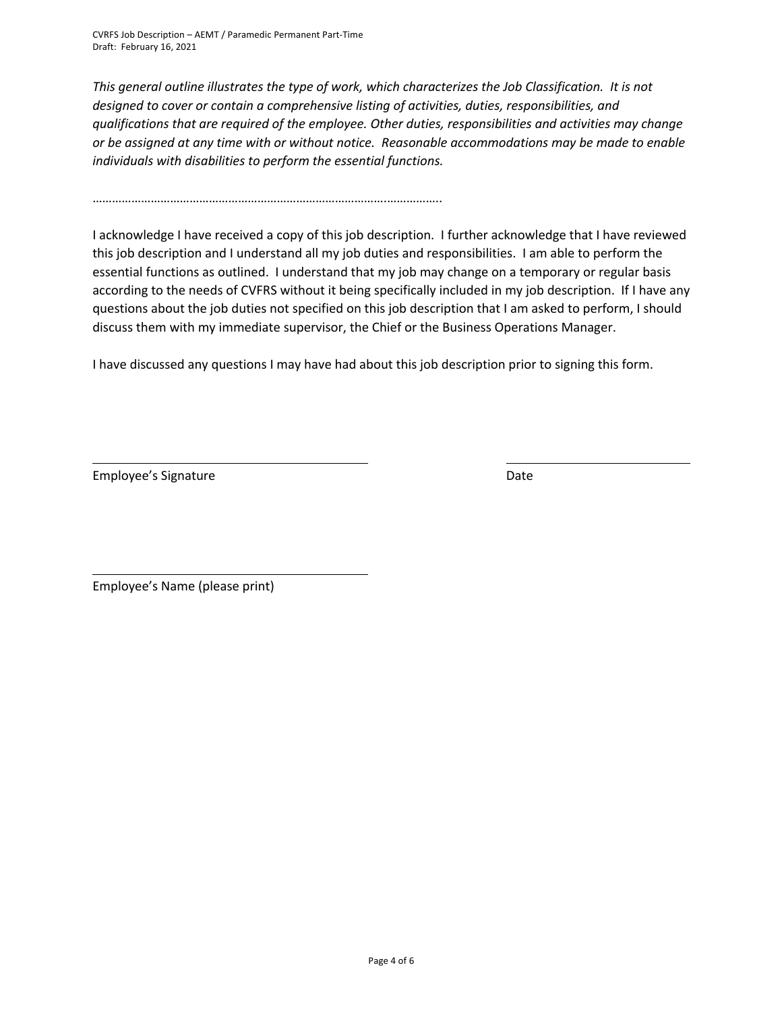CVRFS Job Description – AEMT / Paramedic Permanent Part-Time Draft: February 16, 2021

*This general outline illustrates the type of work, which characterizes the Job Classification. It is not designed to cover or contain a comprehensive listing of activities, duties, responsibilities, and qualifications that are required of the employee. Other duties, responsibilities and activities may change or be assigned at any time with or without notice. Reasonable accommodations may be made to enable individuals with disabilities to perform the essential functions.*

……………………………………………………………………………….……………..

I acknowledge I have received a copy of this job description. I further acknowledge that I have reviewed this job description and I understand all my job duties and responsibilities. I am able to perform the essential functions as outlined. I understand that my job may change on a temporary or regular basis according to the needs of CVFRS without it being specifically included in my job description. If I have any questions about the job duties not specified on this job description that I am asked to perform, I should discuss them with my immediate supervisor, the Chief or the Business Operations Manager.

I have discussed any questions I may have had about this job description prior to signing this form.

Employee's Signature **Date** Date Date Date

Employee's Name (please print)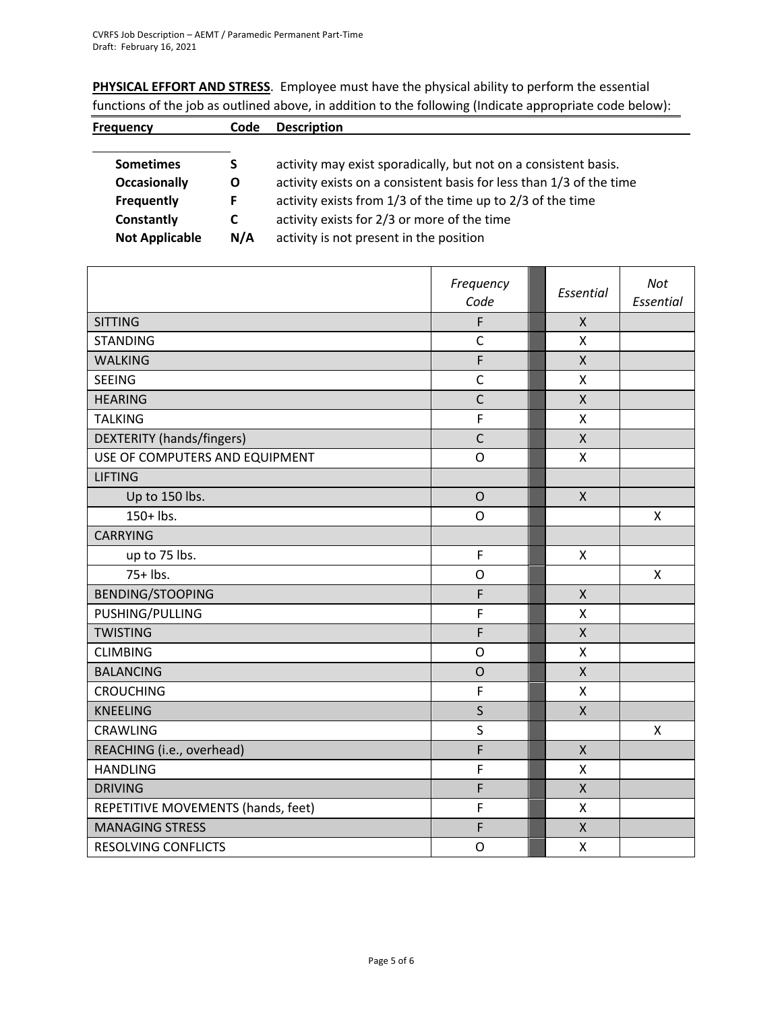**PHYSICAL EFFORT AND STRESS**. Employee must have the physical ability to perform the essential functions of the job as outlined above, in addition to the following (Indicate appropriate code below):

| <b>Frequency</b>      | Code | <b>Description</b>                                                  |
|-----------------------|------|---------------------------------------------------------------------|
|                       |      |                                                                     |
| <b>Sometimes</b>      |      | activity may exist sporadically, but not on a consistent basis.     |
| <b>Occasionally</b>   | O    | activity exists on a consistent basis for less than 1/3 of the time |
| <b>Frequently</b>     | F.   | activity exists from 1/3 of the time up to 2/3 of the time          |
| Constantly            | C    | activity exists for 2/3 or more of the time                         |
| <b>Not Applicable</b> | N/A  | activity is not present in the position                             |

|                                    | Frequency<br>Code | Essential                 | Not<br>Essential |
|------------------------------------|-------------------|---------------------------|------------------|
| <b>SITTING</b>                     | F                 | $\pmb{\chi}$              |                  |
| <b>STANDING</b>                    | $\mathsf{C}$      | $\boldsymbol{\mathsf{X}}$ |                  |
| <b>WALKING</b>                     | F                 | $\mathsf{X}$              |                  |
| <b>SEEING</b>                      | $\mathsf{C}$      | $\pmb{\mathsf{X}}$        |                  |
| <b>HEARING</b>                     | $\mathsf{C}$      | $\mathsf{X}$              |                  |
| <b>TALKING</b>                     | F                 | X                         |                  |
| DEXTERITY (hands/fingers)          | $\mathsf{C}$      | $\mathsf{X}$              |                  |
| USE OF COMPUTERS AND EQUIPMENT     | $\mathsf{O}$      | $\pmb{\mathsf{X}}$        |                  |
| <b>LIFTING</b>                     |                   |                           |                  |
| Up to 150 lbs.                     | $\mathsf{O}$      | $\mathsf{X}$              |                  |
| 150+ lbs.                          | O                 |                           | X                |
| <b>CARRYING</b>                    |                   |                           |                  |
| up to 75 lbs.                      | $\mathsf F$       | $\pmb{\mathsf{X}}$        |                  |
| $75+$ lbs.                         | O                 |                           | X                |
| <b>BENDING/STOOPING</b>            | F                 | $\pmb{\mathsf{X}}$        |                  |
| PUSHING/PULLING                    | F                 | $\sf X$                   |                  |
| <b>TWISTING</b>                    | $\mathsf F$       | $\mathsf{x}$              |                  |
| <b>CLIMBING</b>                    | $\mathsf{O}$      | $\pmb{\mathsf{X}}$        |                  |
| <b>BALANCING</b>                   | $\overline{O}$    | $\overline{\mathsf{X}}$   |                  |
| <b>CROUCHING</b>                   | F                 | X                         |                  |
| <b>KNEELING</b>                    | $\mathsf{S}$      | $\mathsf{X}$              |                  |
| <b>CRAWLING</b>                    | S                 |                           | $\mathsf{x}$     |
| REACHING (i.e., overhead)          | F                 | $\overline{\mathsf{X}}$   |                  |
| <b>HANDLING</b>                    | F                 | X                         |                  |
| <b>DRIVING</b>                     | F                 | $\mathsf{\overline{X}}$   |                  |
| REPETITIVE MOVEMENTS (hands, feet) | F                 | $\pmb{\times}$            |                  |
| <b>MANAGING STRESS</b>             | F                 | $\overline{\mathsf{X}}$   |                  |
| <b>RESOLVING CONFLICTS</b>         | $\mathsf{O}$      | X                         |                  |